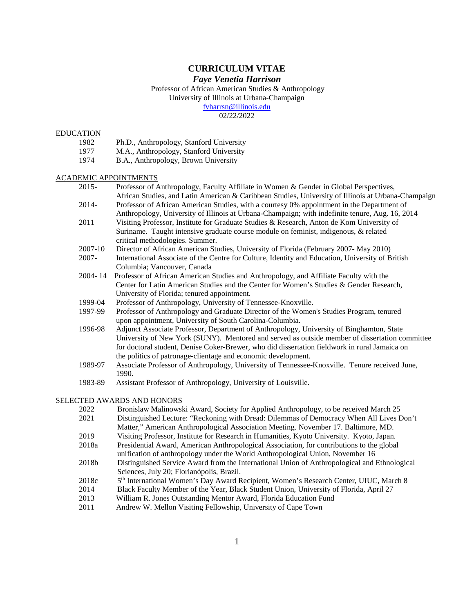# **CURRICULUM VITAE**

# *Faye Venetia Harrison*

Professor of African American Studies & Anthropology University of Illinois at Urbana-Champaign [fvharrsn@illinois.edu](mailto:fvharrsn@illinois.edu)

02/22/2022

#### EDUCATION

- 1982 Ph.D., Anthropology, Stanford University
- 1977 M.A., Anthropology, Stanford University
- 1974 B.A., Anthropology, Brown University

#### ACADEMIC APPOINTMENTS

- 2015- Professor of Anthropology, Faculty Affiliate in Women & Gender in Global Perspectives, African Studies, and Latin American & Caribbean Studies, University of Illinois at Urbana-Champaign
- 2014- Professor of African American Studies, with a courtesy 0% appointment in the Department of Anthropology, University of Illinois at Urbana-Champaign; with indefinite tenure, Aug. 16, 2014
- 2011 Visiting Professor, Institute for Graduate Studies & Research, Anton de Kom University of Suriname. Taught intensive graduate course module on feminist, indigenous, & related critical methodologies. Summer.
- 2007-10 Director of African American Studies, University of Florida (February 2007- May 2010)
- 2007- International Associate of the Centre for Culture, Identity and Education, University of British Columbia; Vancouver, Canada
- 2004- 14 Professor of African American Studies and Anthropology, and Affiliate Faculty with the Center for Latin American Studies and the Center for Women's Studies & Gender Research, University of Florida; tenured appointment.
- 1999-04 Professor of Anthropology, University of Tennessee-Knoxville.
- 1997-99 Professor of Anthropology and Graduate Director of the Women's Studies Program, tenured upon appointment, University of South Carolina-Columbia.
- 1996-98 Adjunct Associate Professor, Department of Anthropology, University of Binghamton, State University of New York (SUNY). Mentored and served as outside member of dissertation committee for doctoral student, Denise Coker-Brewer, who did dissertation fieldwork in rural Jamaica on the politics of patronage-clientage and economic development.
- 1989-97 Associate Professor of Anthropology, University of Tennessee-Knoxville. Tenure received June, 1990.
- 1983-89 Assistant Professor of Anthropology, University of Louisville.

### SELECTED AWARDS AND HONORS

- 2022 Bronislaw Malinowski Award, Society for Applied Anthropology, to be received March 25
- 2021 Distinguished Lecture: "Reckoning with Dread: Dilemmas of Democracy When All Lives Don't Matter," American Anthropological Association Meeting. November 17. Baltimore, MD.
- 2019 Visiting Professor, Institute for Research in Humanities, Kyoto University. Kyoto, Japan.
- 2018a Presidential Award, American Anthropological Association, for contributions to the global
- unification of anthropology under the World Anthropological Union, November 16 2018b Distinguished Service Award from the International Union of Anthropological and Ethnological
- Sciences, July 20; Florianópolis, Brazil.
- 2018c 5<sup>th</sup> International Women's Day Award Recipient, Women's Research Center, UIUC, March 8
- 2014 Black Faculty Member of the Year, Black Student Union, University of Florida, April 27<br>2013 William R. Jones Outstanding Mentor Award, Florida Education Fund
- William R. Jones Outstanding Mentor Award, Florida Education Fund
- 2011 Andrew W. Mellon Visiting Fellowship, University of Cape Town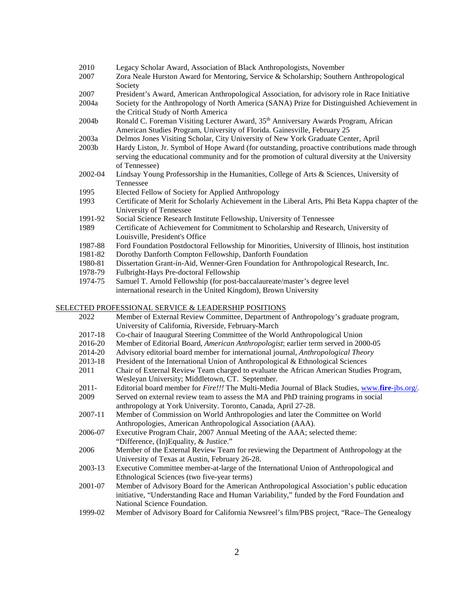| Legacy Scholar Award, Association of Black Anthropologists, November                                                                                                                                              |
|-------------------------------------------------------------------------------------------------------------------------------------------------------------------------------------------------------------------|
| Zora Neale Hurston Award for Mentoring, Service & Scholarship; Southern Anthropological<br>Society                                                                                                                |
| President's Award, American Anthropological Association, for advisory role in Race Initiative                                                                                                                     |
| Society for the Anthropology of North America (SANA) Prize for Distinguished Achievement in<br>the Critical Study of North America                                                                                |
| Ronald C. Foreman Visiting Lecturer Award, 35 <sup>th</sup> Anniversary Awards Program, African<br>American Studies Program, University of Florida. Gainesville, February 25                                      |
| Delmos Jones Visiting Scholar, City University of New York Graduate Center, April                                                                                                                                 |
| Hardy Liston, Jr. Symbol of Hope Award (for outstanding, proactive contributions made through<br>serving the educational community and for the promotion of cultural diversity at the University<br>of Tennessee) |
| Lindsay Young Professorship in the Humanities, College of Arts & Sciences, University of<br>Tennessee                                                                                                             |
| Elected Fellow of Society for Applied Anthropology                                                                                                                                                                |
| Certificate of Merit for Scholarly Achievement in the Liberal Arts, Phi Beta Kappa chapter of the<br>University of Tennessee                                                                                      |
| Social Science Research Institute Fellowship, University of Tennessee                                                                                                                                             |
| Certificate of Achievement for Commitment to Scholarship and Research, University of<br>Louisville, President's Office                                                                                            |
| Ford Foundation Postdoctoral Fellowship for Minorities, University of Illinois, host institution                                                                                                                  |
| Dorothy Danforth Compton Fellowship, Danforth Foundation                                                                                                                                                          |
| Dissertation Grant-in-Aid, Wenner-Gren Foundation for Anthropological Research, Inc.                                                                                                                              |
|                                                                                                                                                                                                                   |

- 1978-79 Fulbright-Hays Pre-doctoral Fellowship<br>1974-75 Samuel T. Arnold Fellowship (for post-b
- Samuel T. Arnold Fellowship (for post-baccalaureate/master's degree level international research in the United Kingdom), Brown University

# SELECTED PROFESSIONAL SERVICE & LEADERSHIP POSITIONS

| 2022     | Member of External Review Committee, Department of Anthropology's graduate program,             |
|----------|-------------------------------------------------------------------------------------------------|
|          | University of California, Riverside, February-March                                             |
| 2017-18  | Co-chair of Inaugural Steering Committee of the World Anthropological Union                     |
| 2016-20  | Member of Editorial Board, American Anthropologist; earlier term served in 2000-05              |
| 2014-20  | Advisory editorial board member for international journal, Anthropological Theory               |
| 2013-18  | President of the International Union of Anthropological & Ethnological Sciences                 |
| 2011     | Chair of External Review Team charged to evaluate the African American Studies Program,         |
|          | Wesleyan University; Middletown, CT. September.                                                 |
| $2011 -$ | Editorial board member for Fire!!! The Multi-Media Journal of Black Studies, www.fire-jbs.org/. |
| 2009     | Served on external review team to assess the MA and PhD training programs in social             |
|          | anthropology at York University. Toronto, Canada, April 27-28.                                  |
| 2007-11  | Member of Commission on World Anthropologies and later the Committee on World                   |
|          | Anthropologies, American Anthropological Association (AAA).                                     |
| 2006-07  | Executive Program Chair, 2007 Annual Meeting of the AAA; selected theme:                        |
|          | "Difference, (In)Equality, & Justice."                                                          |
| 2006     | Member of the External Review Team for reviewing the Department of Anthropology at the          |
|          | University of Texas at Austin, February 26-28.                                                  |
| 2003-13  | Executive Committee member-at-large of the International Union of Anthropological and           |
|          | Ethnological Sciences (two five-year terms)                                                     |
| 2001-07  | Member of Advisory Board for the American Anthropological Association's public education        |
|          | initiative, "Understanding Race and Human Variability," funded by the Ford Foundation and       |
|          | National Science Foundation.                                                                    |
| 1999-02  | Member of Advisory Board for California Newsreel's film/PBS project, "Race-The Genealogy        |
|          |                                                                                                 |
|          |                                                                                                 |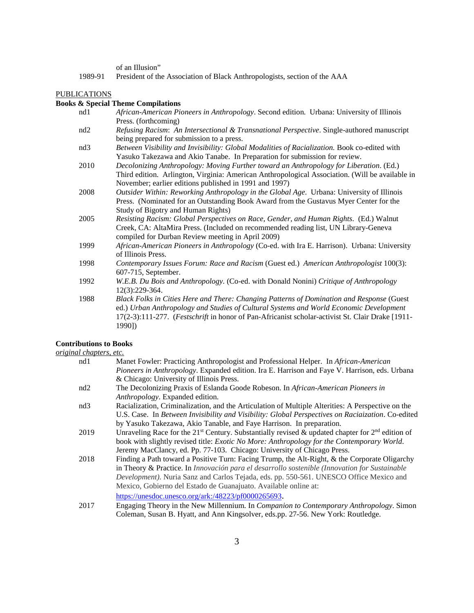of an Illusion"

1989-91 President of the Association of Black Anthropologists, section of the AAA

#### PUBLICATIONS

### **Books & Special Theme Compilations**

- nd1 *African-American Pioneers in Anthropology*. Second edition. Urbana: University of Illinois Press. (forthcoming)
- nd2 *Refusing Racism*: *An Intersectional & Transnational Perspective*. Single-authored manuscript being prepared for submission to a press.
- nd3 *Between Visibility and Invisibility: Global Modalities of Racialization.* Book co-edited with Yasuko Takezawa and Akio Tanabe. In Preparation for submission for review.
- 2010 *Decolonizing Anthropology: Moving Further toward an Anthropology for Liberation*. (Ed.) Third edition. Arlington, Virginia: American Anthropological Association. (Will be available in November; earlier editions published in 1991 and 1997)
- 2008 *Outsider Within: Reworking Anthropology in the Global Age*. Urbana: University of Illinois Press. (Nominated for an Outstanding Book Award from the Gustavus Myer Center for the Study of Bigotry and Human Rights)
- 2005 *Resisting Racism: Global Perspectives on Race, Gender, and Human Rights*. (Ed.) Walnut Creek, CA: AltaMira Press. (Included on recommended reading list, UN Library-Geneva compiled for Durban Review meeting in April 2009)
- 1999 *African-American Pioneers in Anthropology* (Co-ed. with Ira E. Harrison). Urbana: University of Illinois Press.
- 1998 *Contemporary Issues Forum: Race and Racism* (Guest ed.) *American Anthropologist* 100(3): 607-715, September.
- 1992 *W.E.B. Du Bois and Anthropology.* (Co-ed. with Donald Nonini) *Critique of Anthropology* 12(3):229-364.
- 1988 *Black Folks in Cities Here and There: Changing Patterns of Domination and Response* (Guest ed.) *Urban Anthropology and Studies of Cultural Systems and World Economic Development* 17(2-3):111-277. (*Festschrift* in honor of Pan-Africanist scholar-activist St. Clair Drake [1911- 1990])

#### **Contributions to Books**

*original chapters, etc.*

| nd1  | Manet Fowler: Practicing Anthropologist and Professional Helper. In African-American                           |
|------|----------------------------------------------------------------------------------------------------------------|
|      | Pioneers in Anthropology. Expanded edition. Ira E. Harrison and Faye V. Harrison, eds. Urbana                  |
|      | & Chicago: University of Illinois Press.                                                                       |
| nd2  | The Decolonizing Praxis of Eslanda Goode Robeson. In African-American Pioneers in                              |
|      | Anthropology. Expanded edition.                                                                                |
| nd3  | Racialization, Criminalization, and the Articulation of Multiple Alterities: A Perspective on the              |
|      | U.S. Case. In Between Invisibility and Visibility: Global Perspectives on Raciaization. Co-edited              |
|      | by Yasuko Takezawa, Akio Tanable, and Faye Harrison. In preparation.                                           |
| 2019 | Unraveling Race for the 21 <sup>st</sup> Century. Substantially revised & updated chapter for $2nd$ edition of |
|      | book with slightly revised title: <i>Exotic No More: Anthropology for the Contemporary World.</i>              |
|      | Jeremy MacClancy, ed. Pp. 77-103. Chicago: University of Chicago Press.                                        |
| 2018 | Finding a Path toward a Positive Turn: Facing Trump, the Alt-Right, & the Corporate Oligarchy                  |
|      | in Theory & Practice. In Innovación para el desarrollo sostenible (Innovation for Sustainable                  |
|      | Development). Nuria Sanz and Carlos Tejada, eds. pp. 550-561. UNESCO Office Mexico and                         |
|      | Mexico, Gobierno del Estado de Guanajuato. Available online at:                                                |
|      | https://unesdoc.unesco.org/ark:/48223/pf0000265693.                                                            |
| 2017 | Engaging Theory in the New Millennium. In Companion to Contemporary Anthropology. Simon                        |

Coleman, Susan B. Hyatt, and Ann Kingsolver, eds.pp. 27-56. New York: Routledge.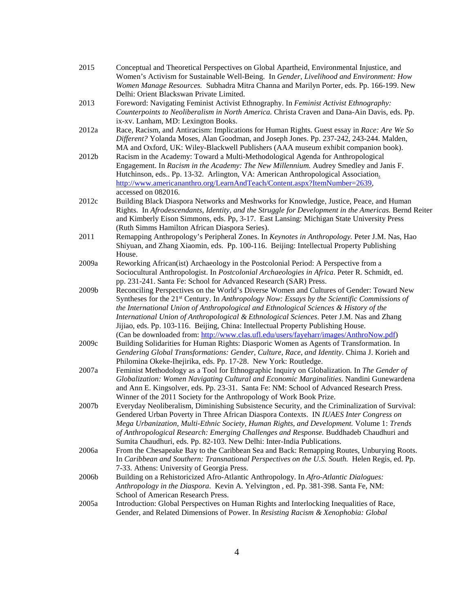| 2015  | Conceptual and Theoretical Perspectives on Global Apartheid, Environmental Injustice, and<br>Women's Activism for Sustainable Well-Being. In Gender, Livelihood and Environment: How |
|-------|--------------------------------------------------------------------------------------------------------------------------------------------------------------------------------------|
|       | Women Manage Resources. Subhadra Mitra Channa and Marilyn Porter, eds. Pp. 166-199. New<br>Delhi: Orient Blackswan Private Limited.                                                  |
| 2013  | Foreword: Navigating Feminist Activist Ethnography. In Feminist Activist Ethnography:                                                                                                |
|       |                                                                                                                                                                                      |
|       | Counterpoints to Neoliberalism in North America. Christa Craven and Dana-Ain Davis, eds. Pp.                                                                                         |
|       | ix-xv. Lanham, MD: Lexington Books.                                                                                                                                                  |
| 2012a | Race, Racism, and Antiracism: Implications for Human Rights. Guest essay in Race: Are We So                                                                                          |
|       | Different? Yolanda Moses, Alan Goodman, and Joseph Jones. Pp. 237-242, 243-244. Malden,                                                                                              |
|       | MA and Oxford, UK: Wiley-Blackwell Publishers (AAA museum exhibit companion book).                                                                                                   |
| 2012b | Racism in the Academy: Toward a Multi-Methodological Agenda for Anthropological                                                                                                      |
|       | Engagement. In Racism in the Academy: The New Millennium. Audrey Smedley and Janis F.                                                                                                |
|       | Hutchinson, eds Pp. 13-32. Arlington, VA: American Anthropological Association.                                                                                                      |
|       | http://www.americananthro.org/LearnAndTeach/Content.aspx?ItemNumber=2639,<br>accessed on 082016.                                                                                     |
| 2012c | Building Black Diaspora Networks and Meshworks for Knowledge, Justice, Peace, and Human                                                                                              |
|       | Rights. In Afrodescendants, Identity, and the Struggle for Development in the Americas. Bernd Reiter                                                                                 |
|       | and Kimberly Eison Simmons, eds. Pp, 3-17. East Lansing: Michigan State University Press                                                                                             |
|       | (Ruth Simms Hamilton African Diaspora Series).                                                                                                                                       |
| 2011  | Remapping Anthropology's Peripheral Zones. In Keynotes in Anthropology. Peter J.M. Nas, Hao                                                                                          |
|       | Shiyuan, and Zhang Xiaomin, eds. Pp. 100-116. Beijing: Intellectual Property Publishing                                                                                              |
|       | House.                                                                                                                                                                               |
| 2009a | Reworking African(ist) Archaeology in the Postcolonial Period: A Perspective from a                                                                                                  |
|       | Sociocultural Anthropologist. In Postcolonial Archaeologies in Africa. Peter R. Schmidt, ed.                                                                                         |
|       | pp. 231-241. Santa Fe: School for Advanced Research (SAR) Press.                                                                                                                     |
| 2009b | Reconciling Perspectives on the World's Diverse Women and Cultures of Gender: Toward New                                                                                             |
|       | Syntheses for the 21 <sup>st</sup> Century. In Anthropology Now: Essays by the Scientific Commissions of                                                                             |
|       | the International Union of Anthropological and Ethnological Sciences & History of the                                                                                                |
|       | International Union of Anthropological & Ethnological Sciences. Peter J.M. Nas and Zhang                                                                                             |
|       | Jijiao, eds. Pp. 103-116. Beijing, China: Intellectual Property Publishing House.                                                                                                    |
|       | (Can be downloaded from: http://www.clas.ufl.edu/users/fayeharr/images/AnthroNow.pdf)                                                                                                |
| 2009c | Building Solidarities for Human Rights: Diasporic Women as Agents of Transformation. In                                                                                              |
|       | Gendering Global Transformations: Gender, Culture, Race, and Identity. Chima J. Korieh and                                                                                           |
|       | Philomina Okeke-Ihejirika, eds. Pp. 17-28. New York: Routledge.                                                                                                                      |
| 2007a | Feminist Methodology as a Tool for Ethnographic Inquiry on Globalization. In The Gender of                                                                                           |
|       | Globalization: Women Navigating Cultural and Economic Marginalities. Nandini Gunewardena                                                                                             |
|       | and Ann E. Kingsolver, eds. Pp. 23-31. Santa Fe: NM: School of Advanced Research Press.                                                                                              |
|       | Winner of the 2011 Society for the Anthropology of Work Book Prize.                                                                                                                  |
| 2007b | Everyday Neoliberalism, Diminishing Subsistence Security, and the Criminalization of Survival:                                                                                       |
|       | Gendered Urban Poverty in Three African Diaspora Contexts. IN IUAES Inter Congress on                                                                                                |
|       | Mega Urbanization, Multi-Ethnic Society, Human Rights, and Development. Volume 1: Trends                                                                                             |
|       | of Anthropological Research: Emerging Challenges and Response. Buddhadeb Chaudhuri and                                                                                               |
| 2006a | Sumita Chaudhuri, eds. Pp. 82-103. New Delhi: Inter-India Publications.<br>From the Chesapeake Bay to the Caribbean Sea and Back: Remapping Routes, Unburying Roots.                 |
|       | In Caribbean and Southern: Transnational Perspectives on the U.S. South. Helen Regis, ed. Pp.                                                                                        |
|       | 7-33. Athens: University of Georgia Press.                                                                                                                                           |
| 2006b | Building on a Rehistoricized Afro-Atlantic Anthropology. In Afro-Atlantic Dialogues:                                                                                                 |
|       | Anthropology in the Diaspora. Kevin A. Yelvington, ed. Pp. 381-398. Santa Fe, NM:                                                                                                    |
|       | School of American Research Press.                                                                                                                                                   |
| 2005a | Introduction: Global Perspectives on Human Rights and Interlocking Inequalities of Race,                                                                                             |
|       | Gender, and Related Dimensions of Power. In Resisting Racism & Xenophobia: Global                                                                                                    |
|       |                                                                                                                                                                                      |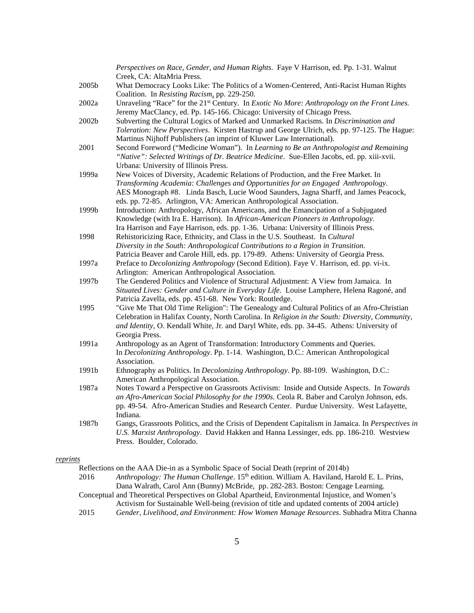|       | Perspectives on Race, Gender, and Human Rights. Faye V Harrison, ed. Pp. 1-31. Walnut<br>Creek, CA: AltaMria Press.                                                                                                                                                                                                                    |
|-------|----------------------------------------------------------------------------------------------------------------------------------------------------------------------------------------------------------------------------------------------------------------------------------------------------------------------------------------|
| 2005b | What Democracy Looks Like: The Politics of a Women-Centered, Anti-Racist Human Rights<br>Coalition. In Resisting Racism, pp. 229-250.                                                                                                                                                                                                  |
| 2002a | Unraveling "Race" for the 21 <sup>st</sup> Century. In Exotic No More: Anthropology on the Front Lines.<br>Jeremy MacClancy, ed. Pp. 145-166. Chicago: University of Chicago Press.                                                                                                                                                    |
| 2002b | Subverting the Cultural Logics of Marked and Unmarked Racisms. In Discrimination and<br>Toleration: New Perspectives. Kirsten Hastrup and George Ulrich, eds. pp. 97-125. The Hague:<br>Martinus Nijhoff Publishers (an imprint of Kluwer Law International).                                                                          |
| 2001  | Second Foreword ("Medicine Woman"). In Learning to Be an Anthropologist and Remaining<br>"Native": Selected Writings of Dr. Beatrice Medicine. Sue-Ellen Jacobs, ed. pp. xiii-xvii.<br>Urbana: University of Illinois Press.                                                                                                           |
| 1999a | New Voices of Diversity, Academic Relations of Production, and the Free Market. In<br>Transforming Academia: Challenges and Opportunities for an Engaged Anthropology.<br>AES Monograph #8. Linda Basch, Lucie Wood Saunders, Jagna Sharff, and James Peacock,<br>eds. pp. 72-85. Arlington, VA: American Anthropological Association. |
| 1999b | Introduction: Anthropology, African Americans, and the Emancipation of a Subjugated<br>Knowledge (with Ira E. Harrison). In African-American Pioneers in Anthropology.<br>Ira Harrison and Faye Harrison, eds. pp. 1-36. Urbana: University of Illinois Press.                                                                         |
| 1998  | Rehistoricizing Race, Ethnicity, and Class in the U.S. Southeast. In Cultural<br>Diversity in the South: Anthropological Contributions to a Region in Transition.<br>Patricia Beaver and Carole Hill, eds. pp. 179-89. Athens: University of Georgia Press.                                                                            |
| 1997a | Preface to Decolonizing Anthropology (Second Edition). Faye V. Harrison, ed. pp. vi-ix.<br>Arlington: American Anthropological Association.                                                                                                                                                                                            |
| 1997b | The Gendered Politics and Violence of Structural Adjustment: A View from Jamaica. In<br>Situated Lives: Gender and Culture in Everyday Life. Louise Lamphere, Helena Ragoné, and<br>Patricia Zavella, eds. pp. 451-68. New York: Routledge.                                                                                            |
| 1995  | "Give Me That Old Time Religion": The Genealogy and Cultural Politics of an Afro-Christian<br>Celebration in Halifax County, North Carolina. In Religion in the South: Diversity, Community,<br>and Identity, O. Kendall White, Jr. and Daryl White, eds. pp. 34-45. Athens: University of<br>Georgia Press.                           |
| 1991a | Anthropology as an Agent of Transformation: Introductory Comments and Queries.<br>In Decolonizing Anthropology. Pp. 1-14. Washington, D.C.: American Anthropological<br>Association.                                                                                                                                                   |
| 1991b | Ethnography as Politics. In Decolonizing Anthropology. Pp. 88-109. Washington, D.C.:<br>American Anthropological Association.                                                                                                                                                                                                          |
| 1987a | Notes Toward a Perspective on Grassroots Activism: Inside and Outside Aspects. In Towards<br>an Afro-American Social Philosophy for the 1990s. Ceola R. Baber and Carolyn Johnson, eds.<br>pp. 49-54. Afro-American Studies and Research Center. Purdue University. West Lafayette,<br>Indiana.                                        |
| 1987b | Gangs, Grassroots Politics, and the Crisis of Dependent Capitalism in Jamaica. In Perspectives in<br>U.S. Marxist Anthropology. David Hakken and Hanna Lessinger, eds. pp. 186-210. Westview<br>Press. Boulder, Colorado.                                                                                                              |

# *reprints*

|      | Reflections on the AAA Die-in as a Symbolic Space of Social Death (reprint of 2014b)                  |
|------|-------------------------------------------------------------------------------------------------------|
| 2016 | Anthropology: The Human Challenge. 15 <sup>th</sup> edition. William A. Haviland, Harold E. L. Prins, |
|      | Dana Walrath, Carol Ann (Bunny) McBride, pp. 282-283. Boston: Cengage Learning.                       |
|      | Conceptual and Theoretical Perspectives on Global Apartheid, Environmental Injustice, and Women's     |
|      | Activism for Sustainable Well-being (revision of title and updated contents of 2004 article)          |
| 2015 | Gender, Livelihood, and Environment: How Women Manage Resources. Subhadra Mitra Channa                |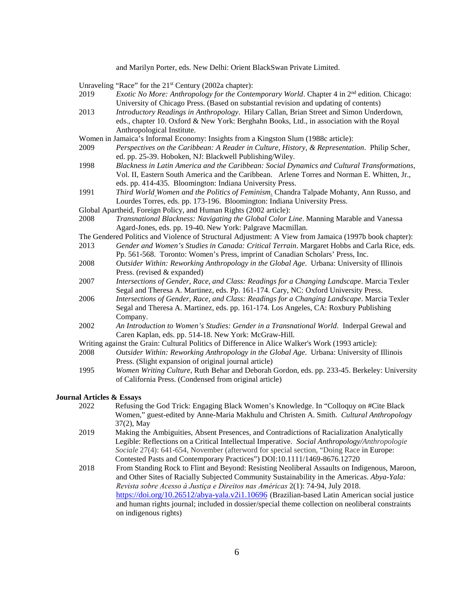and Marilyn Porter, eds. New Delhi: Orient BlackSwan Private Limited.

Unraveling "Race" for the 21<sup>st</sup> Century (2002a chapter):

- 2019 *Exotic No More: Anthropology for the Contemporary World*. Chapter 4 in 2nd edition. Chicago: University of Chicago Press. (Based on substantial revision and updating of contents)
- 2013 *Introductory Readings in Anthropology*. Hilary Callan, Brian Street and Simon Underdown, eds., chapter 10. Oxford & New York: Berghahn Books, Ltd., in association with the Royal Anthropological Institute.
- Women in Jamaica's Informal Economy: Insights from a Kingston Slum (1988c article):
- 2009 *Perspectives on the Caribbean: A Reader in Culture, History, & Representation*. Philip Scher, ed. pp. 25-39. Hoboken, NJ: Blackwell Publishing/Wiley.
- 1998 *Blackness in Latin America and the Caribbean: Social Dynamics and Cultural Transformations*, Vol. II, Eastern South America and the Caribbean. Arlene Torres and Norman E. Whitten, Jr., eds. pp. 414-435. Bloomington: Indiana University Press.
- 1991 *Third World Women and the Politics of Feminism*. Chandra Talpade Mohanty, Ann Russo, and Lourdes Torres, eds. pp. 173-196. Bloomington: Indiana University Press.
- Global Apartheid, Foreign Policy, and Human Rights (2002 article):
- 2008 *Transnational Blackness: Navigating the Global Color Line*. Manning Marable and Vanessa Agard-Jones, eds. pp. 19-40. New York: Palgrave Macmillan.
- The Gendered Politics and Violence of Structural Adjustment: A View from Jamaica (1997b book chapter):
- 2013 *Gender and Women's Studies in Canada: Critical Terrain*. Margaret Hobbs and Carla Rice, eds. Pp. 561-568. Toronto: Women's Press, imprint of Canadian Scholars' Press, Inc.
- 2008 *Outsider Within: Reworking Anthropology in the Global Age*. Urbana: University of Illinois Press. (revised & expanded)
- 2007 *Intersections of Gender, Race, and Class: Readings for a Changing Landscape*. Marcia Texler Segal and Theresa A. Martinez, eds. Pp. 161-174. Cary, NC: Oxford University Press.
- 2006 *Intersections of Gender, Race, and Class: Readings for a Changing Landscape*. Marcia Texler Segal and Theresa A. Martinez, eds. pp. 161-174. Los Angeles, CA: Roxbury Publishing Company.
- 2002 *An Introduction to Women's Studies: Gender in a Transnational World*. Inderpal Grewal and Caren Kaplan, eds. pp. 514-18. New York: McGraw-Hill.
- Writing against the Grain: Cultural Politics of Difference in Alice Walker's Work (1993 article):
- 2008 *Outsider Within: Reworking Anthropology in the Global Age*. Urbana: University of Illinois Press. (Slight expansion of original journal article)
- 1995 *Women Writing Culture*, Ruth Behar and Deborah Gordon, eds. pp. 233-45. Berkeley: University of California Press. (Condensed from original article)

#### **Journal Articles & Essays**

- 2022 Refusing the God Trick: Engaging Black Women's Knowledge. In "Colloquy on #Cite Black Women," guest-edited by Anne-Maria Makhulu and Christen A. Smith. *Cultural Anthropology* 37(2), May
- 2019 Making the Ambiguities, Absent Presences, and Contradictions of Racialization Analytically Legible: Reflections on a Critical Intellectual Imperative. *Social Anthropology/Anthropologie Sociale* 27(4): 641-654, November (afterword for special section, "Doing Race in Europe: Contested Pasts and Contemporary Practices") DOI:10.1111/1469-8676.12720
- 2018 From Standing Rock to Flint and Beyond: Resisting Neoliberal Assaults on Indigenous, Maroon, and Other Sites of Racially Subjected Community Sustainability in the Americas. *Abya-Yala: Revista sobre Acesso à Justiҫa e Direitos nas Américas* 2(1): 74-94, July 2018. <https://doi.org/10.26512/abya-yala.v2i1.10696> (Brazilian-based Latin American social justice and human rights journal; included in dossier/special theme collection on neoliberal constraints on indigenous rights)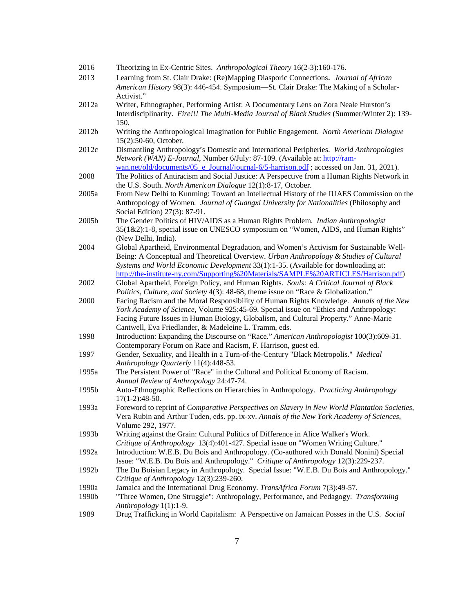| 2016  | Theorizing in Ex-Centric Sites. Anthropological Theory 16(2-3):160-176.                                                                                                          |
|-------|----------------------------------------------------------------------------------------------------------------------------------------------------------------------------------|
| 2013  | Learning from St. Clair Drake: (Re)Mapping Diasporic Connections. Journal of African                                                                                             |
|       | American History 98(3): 446-454. Symposium—St. Clair Drake: The Making of a Scholar-                                                                                             |
|       | Activist."                                                                                                                                                                       |
| 2012a | Writer, Ethnographer, Performing Artist: A Documentary Lens on Zora Neale Hurston's                                                                                              |
|       | Interdisciplinarity. Fire!!! The Multi-Media Journal of Black Studies (Summer/Winter 2): 139-                                                                                    |
|       | 150.                                                                                                                                                                             |
| 2012b | Writing the Anthropological Imagination for Public Engagement. North American Dialogue                                                                                           |
|       | 15(2):50-60, October.                                                                                                                                                            |
| 2012c | Dismantling Anthropology's Domestic and International Peripheries. World Anthropologies                                                                                          |
|       | Network (WAN) E-Journal, Number 6/July: 87-109. (Available at: http://ram-                                                                                                       |
|       | wan.net/old/documents/05 e Journal/journal-6/5-harrison.pdf; accessed on Jan. 31, 2021).                                                                                         |
| 2008  | The Politics of Antiracism and Social Justice: A Perspective from a Human Rights Network in                                                                                      |
|       | the U.S. South. North American Dialogue 12(1):8-17, October.                                                                                                                     |
| 2005a | From New Delhi to Kunming: Toward an Intellectual History of the IUAES Commission on the                                                                                         |
|       | Anthropology of Women. Journal of Guangxi University for Nationalities (Philosophy and                                                                                           |
|       | Social Edition) 27(3): 87-91.                                                                                                                                                    |
| 2005b | The Gender Politics of HIV/AIDS as a Human Rights Problem. Indian Anthropologist                                                                                                 |
|       | 35(1&2):1-8, special issue on UNESCO symposium on "Women, AIDS, and Human Rights"                                                                                                |
|       | (New Delhi, India).                                                                                                                                                              |
| 2004  | Global Apartheid, Environmental Degradation, and Women's Activism for Sustainable Well-                                                                                          |
|       | Being: A Conceptual and Theoretical Overview. Urban Anthropology & Studies of Cultural                                                                                           |
|       | Systems and World Economic Development 33(1):1-35. (Available for downloading at:                                                                                                |
|       | http://the-institute-ny.com/Supporting%20Materials/SAMPLE%20ARTICLES/Harrison.pdf)                                                                                               |
| 2002  | Global Apartheid, Foreign Policy, and Human Rights. Souls: A Critical Journal of Black                                                                                           |
|       | Politics, Culture, and Society 4(3): 48-68, theme issue on "Race & Globalization."                                                                                               |
| 2000  | Facing Racism and the Moral Responsibility of Human Rights Knowledge. Annals of the New<br>York Academy of Science, Volume 925:45-69. Special issue on "Ethics and Anthropology: |
|       | Facing Future Issues in Human Biology, Globalism, and Cultural Property." Anne-Marie                                                                                             |
|       | Cantwell, Eva Friedlander, & Madeleine L. Tramm, eds.                                                                                                                            |
| 1998  | Introduction: Expanding the Discourse on "Race." American Anthropologist 100(3):609-31.                                                                                          |
|       | Contemporary Forum on Race and Racism, F. Harrison, guest ed.                                                                                                                    |
| 1997  | Gender, Sexuality, and Health in a Turn-of-the-Century "Black Metropolis." Medical                                                                                               |
|       | Anthropology Quarterly 11(4):448-53.                                                                                                                                             |
| 1995a | The Persistent Power of "Race" in the Cultural and Political Economy of Racism.                                                                                                  |
|       | Annual Review of Anthropology 24:47-74.                                                                                                                                          |
| 1995b | Auto-Ethnographic Reflections on Hierarchies in Anthropology. Practicing Anthropology                                                                                            |
|       | $17(1-2):48-50.$                                                                                                                                                                 |
| 1993a | Foreword to reprint of Comparative Perspectives on Slavery in New World Plantation Societies,                                                                                    |
|       | Vera Rubin and Arthur Tuden, eds. pp. ix-xv. Annals of the New York Academy of Sciences,                                                                                         |
|       | Volume 292, 1977.                                                                                                                                                                |
| 1993b | Writing against the Grain: Cultural Politics of Difference in Alice Walker's Work.                                                                                               |
|       | Critique of Anthropology 13(4):401-427. Special issue on "Women Writing Culture."                                                                                                |
| 1992a | Introduction: W.E.B. Du Bois and Anthropology. (Co-authored with Donald Nonini) Special                                                                                          |
|       | Issue: "W.E.B. Du Bois and Anthropology." Critique of Anthropology 12(3):229-237.                                                                                                |
| 1992b | The Du Boisian Legacy in Anthropology. Special Issue: "W.E.B. Du Bois and Anthropology."                                                                                         |
|       | Critique of Anthropology 12(3):239-260.                                                                                                                                          |
| 1990a | Jamaica and the International Drug Economy. TransAfrica Forum 7(3):49-57.                                                                                                        |
| 1990b | "Three Women, One Struggle": Anthropology, Performance, and Pedagogy. Transforming                                                                                               |
|       | Anthropology 1(1):1-9.                                                                                                                                                           |
| 1989  | Drug Trafficking in World Capitalism: A Perspective on Jamaican Posses in the U.S. Social                                                                                        |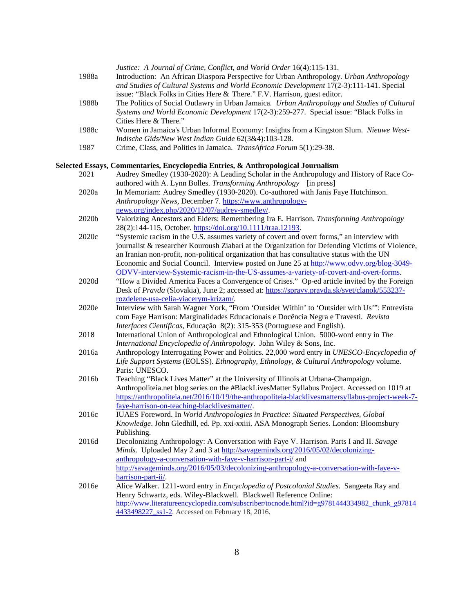| 1988a | Justice: A Journal of Crime, Conflict, and World Order 16(4):115-131.<br>Introduction: An African Diaspora Perspective for Urban Anthropology. Urban Anthropology<br>and Studies of Cultural Systems and World Economic Development 17(2-3):111-141. Special                                                                                                                                                                                                                       |
|-------|------------------------------------------------------------------------------------------------------------------------------------------------------------------------------------------------------------------------------------------------------------------------------------------------------------------------------------------------------------------------------------------------------------------------------------------------------------------------------------|
| 1988b | issue: "Black Folks in Cities Here & There." F.V. Harrison, guest editor.<br>The Politics of Social Outlawry in Urban Jamaica. Urban Anthropology and Studies of Cultural<br>Systems and World Economic Development 17(2-3):259-277. Special issue: "Black Folks in<br>Cities Here & There."                                                                                                                                                                                       |
| 1988c | Women in Jamaica's Urban Informal Economy: Insights from a Kingston Slum. Nieuwe West-<br>Indische Gids/New West Indian Guide 62(3&4):103-128.                                                                                                                                                                                                                                                                                                                                     |
| 1987  | Crime, Class, and Politics in Jamaica. TransAfrica Forum 5(1):29-38.                                                                                                                                                                                                                                                                                                                                                                                                               |
|       | Selected Essays, Commentaries, Encyclopedia Entries, & Anthropological Journalism                                                                                                                                                                                                                                                                                                                                                                                                  |
| 2021  | Audrey Smedley (1930-2020): A Leading Scholar in the Anthropology and History of Race Co-<br>authored with A. Lynn Bolles. Transforming Anthropology [in press]                                                                                                                                                                                                                                                                                                                    |
| 2020a | In Memoriam: Audrey Smedley (1930-2020). Co-authored with Janis Faye Hutchinson.<br>Anthropology News, December 7. https://www.anthropology-                                                                                                                                                                                                                                                                                                                                       |
| 2020b | news.org/index.php/2020/12/07/audrey-smedley/.<br>Valorizing Ancestors and Elders: Remembering Ira E. Harrison. Transforming Anthropology<br>28(2):144-115, October. https://doi.org/10.1111/traa.12193.                                                                                                                                                                                                                                                                           |
| 2020c | "Systemic racism in the U.S. assumes variety of covert and overt forms," an interview with<br>journalist & researcher Kouroush Ziabari at the Organization for Defending Victims of Violence,<br>an Iranian non-profit, non-political organization that has consultative status with the UN<br>Economic and Social Council. Interview posted on June 25 at http://www.odvv.org/blog-3049-<br>ODVV-interview-Systemic-racism-in-the-US-assumes-a-variety-of-covert-and-overt-forms. |
| 2020d | "How a Divided America Faces a Convergence of Crises." Op-ed article invited by the Foreign<br>Desk of Pravda (Slovakia), June 2; accessed at: https://spravy.pravda.sk/svet/clanok/553237-                                                                                                                                                                                                                                                                                        |
| 2020e | rozdelene-usa-celia-viacerym-krizam/.<br>Interview with Sarah Wagner York, "From 'Outsider Within' to 'Outsider with Us'": Entrevista<br>com Faye Harrison: Marginalidades Educacionais e Docência Negra e Travesti. Revista<br>Interfaces Científicas, Educação 8(2): 315-353 (Portuguese and English).                                                                                                                                                                           |
| 2018  | International Union of Anthropological and Ethnological Union. 5000-word entry in The<br>International Encyclopedia of Anthropology. John Wiley & Sons, Inc.                                                                                                                                                                                                                                                                                                                       |
| 2016a | Anthropology Interrogating Power and Politics. 22,000 word entry in UNESCO-Encyclopedia of<br>Life Support Systems (EOLSS). Ethnography, Ethnology, & Cultural Anthropology volume.<br>Paris: UNESCO.                                                                                                                                                                                                                                                                              |
| 2016b | Teaching "Black Lives Matter" at the University of Illinois at Urbana-Champaign.<br>Anthropoliteia.net blog series on the #BlackLivesMatter Syllabus Project. Accessed on 1019 at<br>https://anthropoliteia.net/2016/10/19/the-anthropoliteia-blacklivesmattersyllabus-project-week-7-<br>faye-harrison-on-teaching-blacklivesmatter/.                                                                                                                                             |
| 2016c | IUAES Foreword. In World Anthropologies in Practice: Situated Perspectives, Global<br>Knowledge. John Gledhill, ed. Pp. xxi-xxiii. ASA Monograph Series. London: Bloomsbury<br>Publishing.                                                                                                                                                                                                                                                                                         |
| 2016d | Decolonizing Anthropology: A Conversation with Faye V. Harrison. Parts I and II. Savage<br>Minds. Uploaded May 2 and 3 at http://savageminds.org/2016/05/02/decolonizing-<br>anthropology-a-conversation-with-faye-v-harrison-part-i/ and<br>http://savageminds.org/2016/05/03/decolonizing-anthropology-a-conversation-with-faye-v-                                                                                                                                               |
| 2016e | harrison-part-ii/.<br>Alice Walker. 1211-word entry in <i>Encyclopedia of Postcolonial Studies</i> . Sangeeta Ray and<br>Henry Schwartz, eds. Wiley-Blackwell. Blackwell Reference Online:<br>http://www.literatureencyclopedia.com/subscriber/tocnode.html?id=g9781444334982_chunk_g97814<br>4433498227_ss1-2. Accessed on February 18, 2016.                                                                                                                                     |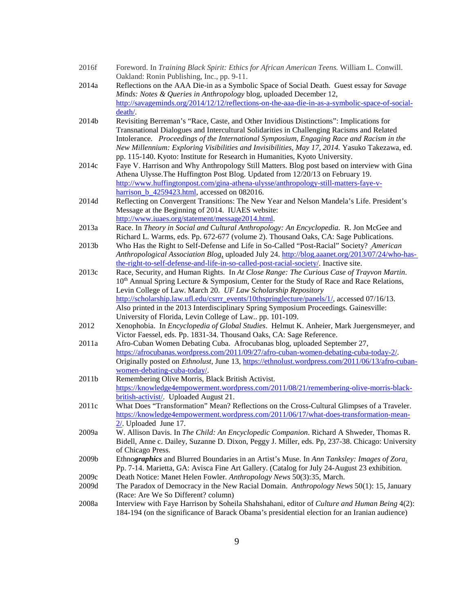- 2016f Foreword. In *Training Black Spirit: Ethics for African American Teens.* William L. Conwill. Oakland: Ronin Publishing, Inc., pp. 9-11.
- 2014a Reflections on the AAA Die-in as a Symbolic Space of Social Death. Guest essay for *Savage Minds: Notes & Queries in Anthropology* blog, uploaded December 12, [http://savageminds.org/2014/12/12/reflections-on-the-aaa-die-in-as-a-symbolic-space-of-social](http://savageminds.org/2014/12/12/reflections-on-the-aaa-die-in-as-a-symbolic-space-of-social-death/)[death/.](http://savageminds.org/2014/12/12/reflections-on-the-aaa-die-in-as-a-symbolic-space-of-social-death/)
- 2014b Revisiting Berreman's "Race, Caste, and Other Invidious Distinctions": Implications for Transnational Dialogues and Intercultural Solidarities in Challenging Racisms and Related Intolerance*. Proceedings of the International Symposium, Engaging Race and Racism in the New Millennium: Exploring Visibilities and Invisibilities, May 17, 2014.* Yasuko Takezawa, ed. pp. 115-140. Kyoto: Institute for Research in Humanities, Kyoto University.
- 2014c Faye V. Harrison and Why Anthropology Still Matters. Blog post based on interview with Gina Athena Ulysse.The Huffington Post Blog. Updated from 12/20/13 on February 19. [http://www.huffingtonpost.com/gina-athena-ulysse/anthropology-still-matters-faye-v](http://www.huffingtonpost.com/gina-athena-ulysse/anthropology-still-matters-faye-v-harrison_b_4259423.html)[harrison\\_b\\_4259423.html,](http://www.huffingtonpost.com/gina-athena-ulysse/anthropology-still-matters-faye-v-harrison_b_4259423.html) accessed on 082016.
- 2014d Reflecting on Convergent Transitions: The New Year and Nelson Mandela's Life. President's Message at the Beginning of 2014. IUAES website: [http://www.iuaes.org/statement/message2014.html.](http://www.iuaes.org/statement/message2014.html)
- 2013a Race. In *Theory in Social and Cultural Anthropology: An Encyclopedia*. R. Jon McGee and Richard L. Warms, eds. Pp. 672-677 (volume 2). Thousand Oaks, CA: Sage Publications.
- 2013b Who Has the Right to Self-Defense and Life in So-Called "Post-Racial" Society? *American Anthropological Association Blog*, uploaded July 24. [http://blog.aaanet.org/2013/07/24/who-has](http://blog.aaanet.org/2013/07/24/who-has-the-right-to-self-defense-and-life-in-so-called-post-racial-society/)[the-right-to-self-defense-and-life-in-so-called-post-racial-society/.](http://blog.aaanet.org/2013/07/24/who-has-the-right-to-self-defense-and-life-in-so-called-post-racial-society/) Inactive site.
- 2013c Race, Security, and Human Rights. In *At Close Range: The Curious Case of Trayvon Martin*. 10<sup>th</sup> Annual Spring Lecture & Symposium, Center for the Study of Race and Race Relations, Levin College of Law. March 20. *UF Law Scholarship Repository* [http://scholarship.law.ufl.edu/csrrr\\_events/10thspringlecture/panels/1/,](http://scholarship.law.ufl.edu/csrrr_events/10thspringlecture/panels/1/) accessed 07/16/13. Also printed in the 2013 Interdisciplinary Spring Symposium Proceedings*.* Gainesville: University of Florida, Levin College of Law.. pp. 101-109.
- 2012 Xenophobia. In *Encyclopedia of Global Studies*. Helmut K. Anheier, Mark Juergensmeyer, and Victor Faessel, eds. Pp. 1831-34. Thousand Oaks, CA: Sage Reference.
- 2011a Afro-Cuban Women Debating Cuba. Afrocubanas blog, uploaded September 27, [https://afrocubanas.wordpress.com/2011/09/27/afro-cuban-women-debating-cuba-today-2/.](https://afrocubanas.wordpress.com/2011/09/27/afro-cuban-women-debating-cuba-today-2/) Originally posted on *Ethnolust*, June 13, [https://ethnolust.wordpress.com/2011/06/13/afro-cuban](https://ethnolust.wordpress.com/2011/06/13/afro-cuban-women-debating-cuba-today/)[women-debating-cuba-today/.](https://ethnolust.wordpress.com/2011/06/13/afro-cuban-women-debating-cuba-today/)
- 2011b Remembering Olive Morris, Black British Activist. [https://knowledge4empowerment.wordpress.com/2011/08/21/remembering-olive-morris-black](https://knowledge4empowerment.wordpress.com/2011/08/21/remembering-olive-morris-black-british-activist/)[british-activist/.](https://knowledge4empowerment.wordpress.com/2011/08/21/remembering-olive-morris-black-british-activist/) Uploaded August 21.
- 2011c What Does "Transformation" Mean? Reflections on the Cross-Cultural Glimpses of a Traveler. [https://knowledge4empowerment.wordpress.com/2011/06/17/what-does-transformation-mean-](https://knowledge4empowerment.wordpress.com/2011/06/17/what-does-transformation-mean-2/)[2/.](https://knowledge4empowerment.wordpress.com/2011/06/17/what-does-transformation-mean-2/) Uploaded June 17.
- 2009a W. Allison Davis. In *The Child: An Encyclopedic Companion*. Richard A Shweder, Thomas R. Bidell, Anne c. Dailey, Suzanne D. Dixon, Peggy J. Miller, eds. Pp, 237-38. Chicago: University of Chicago Press.
- 2009b Ethno*graphics* and Blurred Boundaries in an Artist's Muse. In *Ann Tanksley: Images of Zora*. Pp. 7-14. Marietta, GA: Avisca Fine Art Gallery. (Catalog for July 24-August 23 exhibition.
- 2009c Death Notice: Manet Helen Fowler*. Anthropology News* 50(3):35, March.
- 2009d The Paradox of Democracy in the New Racial Domain. *Anthropology News* 50(1): 15, January (Race: Are We So Different? column)
- 2008a Interview with Faye Harrison by Soheila Shahshahani, editor of *Culture and Human Being* 4(2): 184-194 (on the significance of Barack Obama's presidential election for an Iranian audience)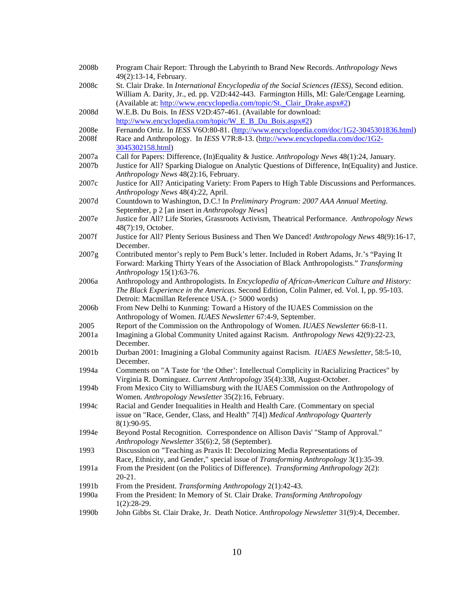| 2008b | Program Chair Report: Through the Labyrinth to Brand New Records. Anthropology News<br>49(2):13-14, February.                                                                              |
|-------|--------------------------------------------------------------------------------------------------------------------------------------------------------------------------------------------|
| 2008c | St. Clair Drake. In International Encyclopedia of the Social Sciences (IESS), Second edition.<br>William A. Darity, Jr., ed. pp. V2D:442-443. Farmington Hills, MI: Gale/Cengage Learning. |
|       | (Available at: http://www.encyclopedia.com/topic/St._Clair_Drake.aspx#2)                                                                                                                   |
| 2008d | W.E.B. Du Bois. In IESS V2D:457-461. (Available for download:                                                                                                                              |
|       | http://www.encyclopedia.com/topic/W E B Du Bois.aspx#2)                                                                                                                                    |
| 2008e | Fernando Ortiz. In IESS V6O:80-81. (http://www.encyclopedia.com/doc/1G2-3045301836.html)                                                                                                   |
| 2008f |                                                                                                                                                                                            |
|       | Race and Anthropology. In IESS V7R:8-13. (http://www.encyclopedia.com/doc/1G2-                                                                                                             |
|       | 3045302158.html)                                                                                                                                                                           |
| 2007a | Call for Papers: Difference, (In)Equality & Justice. Anthropology News 48(1):24, January.                                                                                                  |
| 2007b | Justice for All? Sparking Dialogue on Analytic Questions of Difference, In(Equality) and Justice.                                                                                          |
|       | Anthropology News 48(2):16, February.                                                                                                                                                      |
| 2007c | Justice for All? Anticipating Variety: From Papers to High Table Discussions and Performances.<br>Anthropology News 48(4):22, April.                                                       |
| 2007d | Countdown to Washington, D.C.! In Preliminary Program: 2007 AAA Annual Meeting.                                                                                                            |
|       | September, p 2 [an insert in Anthropology News]                                                                                                                                            |
| 2007e | Justice for All? Life Stories, Grassroots Activism, Theatrical Performance. Anthropology News                                                                                              |
|       | 48(7):19, October.                                                                                                                                                                         |
| 2007f | Justice for All? Plenty Serious Business and Then We Danced! Anthropology News 48(9):16-17,                                                                                                |
|       | December.                                                                                                                                                                                  |
| 2007g | Contributed mentor's reply to Pem Buck's letter. Included in Robert Adams, Jr.'s "Paying It                                                                                                |
|       | Forward: Marking Thirty Years of the Association of Black Anthropologists." Transforming                                                                                                   |
|       | Anthropology 15(1):63-76.                                                                                                                                                                  |
| 2006a | Anthropology and Anthropologists. In Encyclopedia of African-American Culture and History:                                                                                                 |
|       | The Black Experience in the Americas. Second Edition, Colin Palmer, ed. Vol. I, pp. 95-103.                                                                                                |
|       | Detroit: Macmillan Reference USA. (> 5000 words)                                                                                                                                           |
| 2006b | From New Delhi to Kunming: Toward a History of the IUAES Commission on the                                                                                                                 |
|       | Anthropology of Women. IUAES Newsletter 67:4-9, September.                                                                                                                                 |
| 2005  | Report of the Commission on the Anthropology of Women. IUAES Newsletter 66:8-11.                                                                                                           |
| 2001a | Imagining a Global Community United against Racism. Anthropology News 42(9):22-23,                                                                                                         |
|       | December.                                                                                                                                                                                  |
| 2001b | Durban 2001: Imagining a Global Community against Racism. IUAES Newsletter, 58:5-10,                                                                                                       |
|       | December.                                                                                                                                                                                  |
| 1994a | Comments on "A Taste for 'the Other': Intellectual Complicity in Racializing Practices" by                                                                                                 |
|       | Virginia R. Dominguez. Current Anthropology 35(4):338, August-October.                                                                                                                     |
| 1994b | From Mexico City to Williamsburg with the IUAES Commission on the Anthropology of                                                                                                          |
|       | Women. Anthropology Newsletter 35(2):16, February.                                                                                                                                         |
| 1994c | Racial and Gender Inequalities in Health and Health Care. (Commentary on special                                                                                                           |
|       | issue on "Race, Gender, Class, and Health" 7[4]) Medical Anthropology Quarterly                                                                                                            |
|       | 8(1):90-95.                                                                                                                                                                                |
| 1994e | Beyond Postal Recognition. Correspondence on Allison Davis' "Stamp of Approval."                                                                                                           |
|       | Anthropology Newsletter 35(6):2, 58 (September).                                                                                                                                           |
| 1993  | Discussion on "Teaching as Praxis II: Decolonizing Media Representations of                                                                                                                |
|       | Race, Ethnicity, and Gender," special issue of Transforming Anthropology 3(1):35-39.                                                                                                       |
| 1991a | From the President (on the Politics of Difference). Transforming Anthropology 2(2):                                                                                                        |
|       | $20-21.$                                                                                                                                                                                   |
| 1991b | From the President. Transforming Anthropology 2(1):42-43.                                                                                                                                  |
| 1990a | From the President: In Memory of St. Clair Drake. Transforming Anthropology                                                                                                                |
|       | $1(2):28-29.$                                                                                                                                                                              |
| 1990b | John Gibbs St. Clair Drake, Jr. Death Notice. Anthropology Newsletter 31(9):4, December.                                                                                                   |